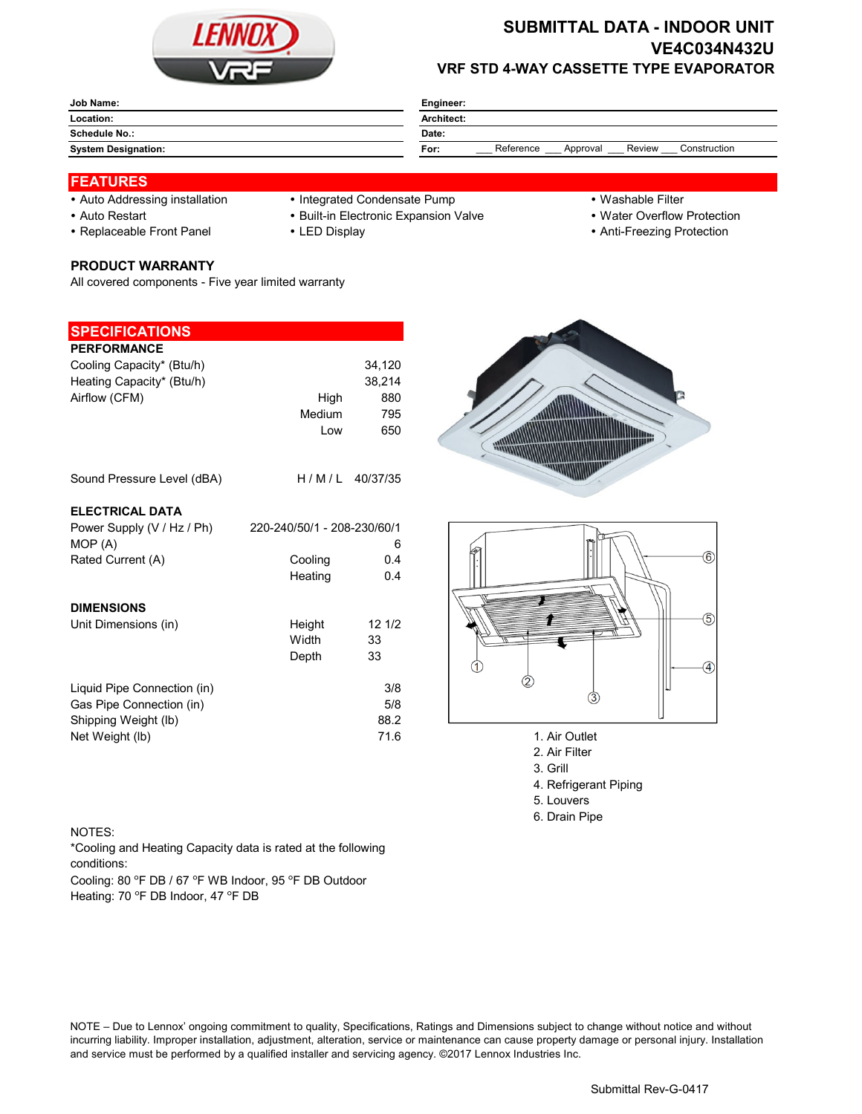

# **SUBMITTAL DATA - INDOOR UNIT VE4C034N432U VRF STD 4-WAY CASSETTE TYPE EVAPORATOR**

| Job Name:                  | Engineer:                                               |  |  |  |
|----------------------------|---------------------------------------------------------|--|--|--|
| Location:                  | Architect:                                              |  |  |  |
| <b>Schedule No.:</b>       | Date:                                                   |  |  |  |
| <b>System Designation:</b> | Reference<br>Construction<br>Review<br>Approval<br>For: |  |  |  |

### **FEATURES**

- 
- 
- 

# **PRODUCT WARRANTY**

All covered components - Five year limited warranty

#### **SPECIFICATIONS**

| <b>PERFORMANCE</b><br>Cooling Capacity* (Btu/h)<br>Heating Capacity* (Btu/h)<br>Airflow (CFM) | High<br>Medium<br>Low       | 34,120<br>38,214<br>880<br>795<br>650 |                                                          |
|-----------------------------------------------------------------------------------------------|-----------------------------|---------------------------------------|----------------------------------------------------------|
| Sound Pressure Level (dBA)                                                                    | H/M/L                       | 40/37/35                              |                                                          |
| <b>ELECTRICAL DATA</b>                                                                        |                             |                                       |                                                          |
| Power Supply (V / Hz / Ph)<br>MOP (A)                                                         | 220-240/50/1 - 208-230/60/1 | 6                                     |                                                          |
| Rated Current (A)                                                                             | Cooling<br>Heating          | 0.4<br>0.4                            |                                                          |
| <b>DIMENSIONS</b>                                                                             |                             |                                       |                                                          |
| Unit Dimensions (in)                                                                          | Height<br>Width<br>Depth    | 121/2<br>33<br>33                     |                                                          |
| Liquid Pipe Connection (in)<br>Gas Pipe Connection (in)<br>Shipping Weight (lb)               |                             | 3/8<br>5/8<br>88.2                    | 3                                                        |
| Net Weight (lb)                                                                               |                             | 71.6                                  | 1. Air Outlet<br>$\Omega$ $\Lambda$ is $\Gamma$ illiants |

- Auto Addressing installation Integrated Condensate Pump Washable Filter
- Auto Restart **Built-in Electronic Expansion Valve Water Overflow Protection** 
	-
- 
- 
- Replaceable Front Panel LED Display Anti-Freezing Protection





- 
- 2. Air Filter 3. Grill
- 4. Refrigerant Piping
- 5. Louvers
- 6. Drain Pipe

#### NOTES:

\*Cooling and Heating Capacity data is rated at the following conditions:

Cooling: 80 °F DB / 67 °F WB Indoor, 95 °F DB Outdoor Heating: 70 °F DB Indoor, 47 °F DB

NOTE – Due to Lennox' ongoing commitment to quality, Specifications, Ratings and Dimensions subject to change without notice and without incurring liability. Improper installation, adjustment, alteration, service or maintenance can cause property damage or personal injury. Installation and service must be performed by a qualified installer and servicing agency. ©2017 Lennox Industries Inc.